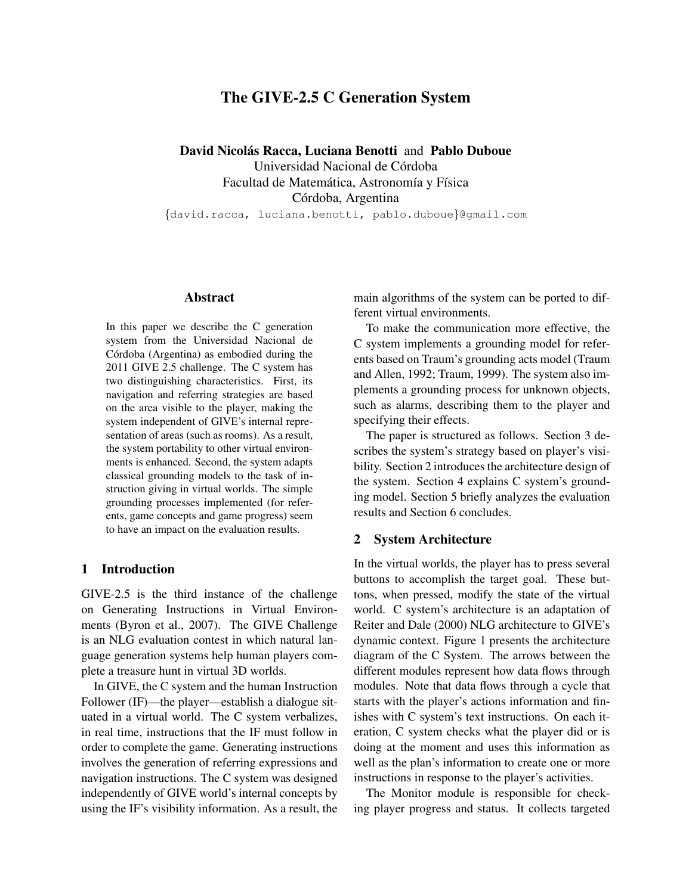# The GIVE-2.5 C Generation System

David Nicolás Racca, Luciana Benotti and Pablo Duboue

Universidad Nacional de Córdoba Facultad de Matemática, Astronomía y Física Córdoba, Argentina

{david.racca, luciana.benotti, pablo.duboue}@gmail.com

## Abstract

In this paper we describe the C generation system from the Universidad Nacional de Córdoba (Argentina) as embodied during the 2011 GIVE 2.5 challenge. The C system has two distinguishing characteristics. First, its navigation and referring strategies are based on the area visible to the player, making the system independent of GIVE's internal representation of areas (such as rooms). As a result, the system portability to other virtual environments is enhanced. Second, the system adapts classical grounding models to the task of instruction giving in virtual worlds. The simple grounding processes implemented (for referents, game concepts and game progress) seem to have an impact on the evaluation results.

#### 1 Introduction

GIVE-2.5 is the third instance of the challenge on Generating Instructions in Virtual Environments (Byron et al., 2007). The GIVE Challenge is an NLG evaluation contest in which natural language generation systems help human players complete a treasure hunt in virtual 3D worlds.

In GIVE, the C system and the human Instruction Follower (IF)—the player—establish a dialogue situated in a virtual world. The C system verbalizes, in real time, instructions that the IF must follow in order to complete the game. Generating instructions involves the generation of referring expressions and navigation instructions. The C system was designed independently of GIVE world's internal concepts by using the IF's visibility information. As a result, the

main algorithms of the system can be ported to different virtual environments.

To make the communication more effective, the C system implements a grounding model for referents based on Traum's grounding acts model (Traum and Allen, 1992; Traum, 1999). The system also implements a grounding process for unknown objects, such as alarms, describing them to the player and specifying their effects.

The paper is structured as follows. Section 3 describes the system's strategy based on player's visibility. Section 2 introduces the architecture design of the system. Section 4 explains C system's grounding model. Section 5 briefly analyzes the evaluation results and Section 6 concludes.

## 2 System Architecture

In the virtual worlds, the player has to press several buttons to accomplish the target goal. These buttons, when pressed, modify the state of the virtual world. C system's architecture is an adaptation of Reiter and Dale (2000) NLG architecture to GIVE's dynamic context. Figure 1 presents the architecture diagram of the C System. The arrows between the different modules represent how data flows through modules. Note that data flows through a cycle that starts with the player's actions information and finishes with C system's text instructions. On each iteration, C system checks what the player did or is doing at the moment and uses this information as well as the plan's information to create one or more instructions in response to the player's activities.

The Monitor module is responsible for checking player progress and status. It collects targeted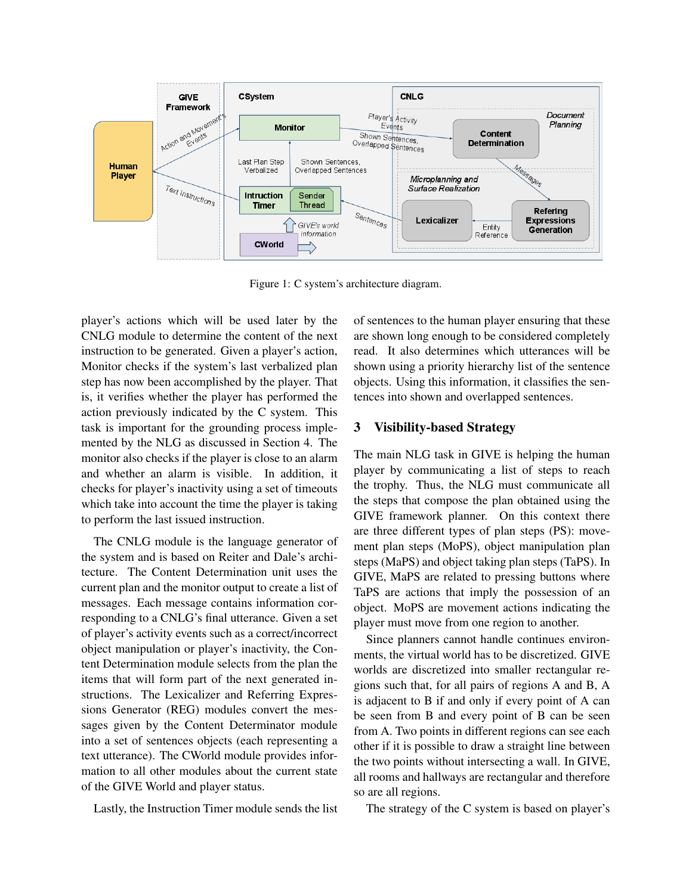

Figure 1: C system's architecture diagram.

player's actions which will be used later by the CNLG module to determine the content of the next instruction to be generated. Given a player's action, Monitor checks if the system's last verbalized plan step has now been accomplished by the player. That is, it verifies whether the player has performed the action previously indicated by the C system. This task is important for the grounding process implemented by the NLG as discussed in Section 4. The monitor also checks if the player is close to an alarm and whether an alarm is visible. In addition, it checks for player's inactivity using a set of timeouts which take into account the time the player is taking to perform the last issued instruction.

The CNLG module is the language generator of the system and is based on Reiter and Dale's architecture. The Content Determination unit uses the current plan and the monitor output to create a list of messages. Each message contains information corresponding to a CNLG's final utterance. Given a set of player's activity events such as a correct/incorrect object manipulation or player's inactivity, the Content Determination module selects from the plan the items that will form part of the next generated instructions. The Lexicalizer and Referring Expressions Generator (REG) modules convert the messages given by the Content Determinator module into a set of sentences objects (each representing a text utterance). The CWorld module provides information to all other modules about the current state of the GIVE World and player status.

Lastly, the Instruction Timer module sends the list

of sentences to the human player ensuring that these are shown long enough to be considered completely read. It also determines which utterances will be shown using a priority hierarchy list of the sentence objects. Using this information, it classifies the sentences into shown and overlapped sentences.

## 3 Visibility-based Strategy

The main NLG task in GIVE is helping the human player by communicating a list of steps to reach the trophy. Thus, the NLG must communicate all the steps that compose the plan obtained using the GIVE framework planner. On this context there are three different types of plan steps (PS): movement plan steps (MoPS), object manipulation plan steps (MaPS) and object taking plan steps (TaPS). In GIVE, MaPS are related to pressing buttons where TaPS are actions that imply the possession of an object. MoPS are movement actions indicating the player must move from one region to another.

Since planners cannot handle continues environments, the virtual world has to be discretized. GIVE worlds are discretized into smaller rectangular regions such that, for all pairs of regions A and B, A is adjacent to B if and only if every point of A can be seen from B and every point of B can be seen from A. Two points in different regions can see each other if it is possible to draw a straight line between the two points without intersecting a wall. In GIVE, all rooms and hallways are rectangular and therefore so are all regions.

The strategy of the C system is based on player's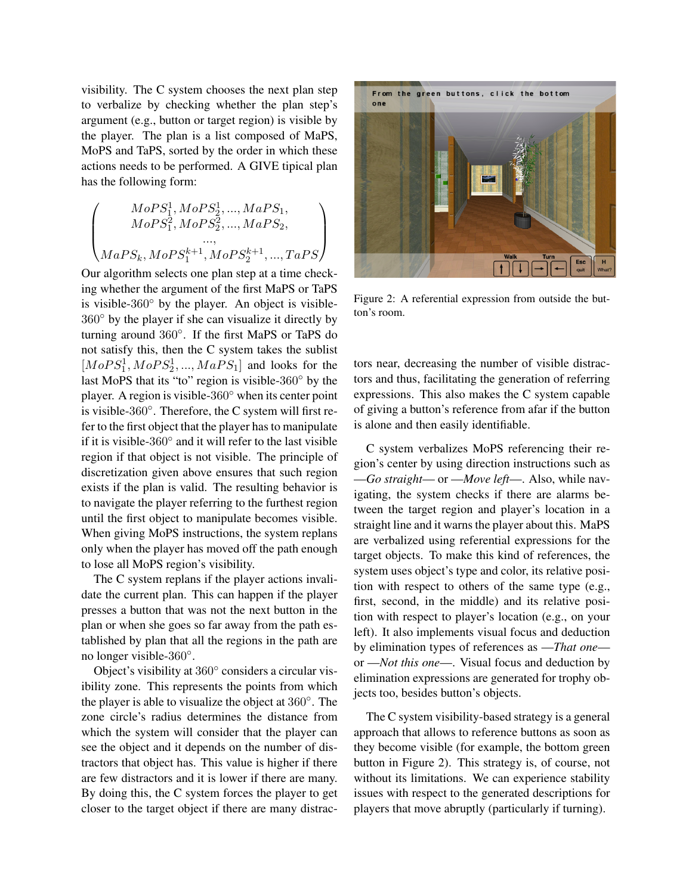visibility. The C system chooses the next plan step to verbalize by checking whether the plan step's argument (e.g., button or target region) is visible by the player. The plan is a list composed of MaPS, MoPS and TaPS, sorted by the order in which these actions needs to be performed. A GIVE tipical plan has the following form:

$$
\begin{pmatrix} MoPS_1^1, MoPS_2^1,...,MaPS_1,\\ MoPS_1^2, MoPS_2^2,...,MaPS_2,\\...,\\MaPS_k, MoPS_1^{k+1}, MoPS_2^{k+1},...,TaPS \end{pmatrix}
$$

Our algorithm selects one plan step at a time checking whether the argument of the first MaPS or TaPS is visible-360◦ by the player. An object is visible-360◦ by the player if she can visualize it directly by turning around 360◦ . If the first MaPS or TaPS do not satisfy this, then the C system takes the sublist  $[MoPS<sub>1</sub><sup>1</sup>, MoPS<sub>2</sub><sup>1</sup>, ..., MaPS<sub>1</sub>]$  and looks for the last MoPS that its "to" region is visible-360◦ by the player. A region is visible-360◦ when its center point is visible-360◦ . Therefore, the C system will first refer to the first object that the player has to manipulate if it is visible-360◦ and it will refer to the last visible region if that object is not visible. The principle of discretization given above ensures that such region exists if the plan is valid. The resulting behavior is to navigate the player referring to the furthest region until the first object to manipulate becomes visible. When giving MoPS instructions, the system replans only when the player has moved off the path enough to lose all MoPS region's visibility.

The C system replans if the player actions invalidate the current plan. This can happen if the player presses a button that was not the next button in the plan or when she goes so far away from the path established by plan that all the regions in the path are no longer visible-360°.

Object's visibility at 360◦ considers a circular visibility zone. This represents the points from which the player is able to visualize the object at 360◦ . The zone circle's radius determines the distance from which the system will consider that the player can see the object and it depends on the number of distractors that object has. This value is higher if there are few distractors and it is lower if there are many. By doing this, the C system forces the player to get closer to the target object if there are many distrac-



Figure 2: A referential expression from outside the button's room.

tors near, decreasing the number of visible distractors and thus, facilitating the generation of referring expressions. This also makes the C system capable of giving a button's reference from afar if the button is alone and then easily identifiable.

C system verbalizes MoPS referencing their region's center by using direction instructions such as —*Go straight*— or —*Move left*—. Also, while navigating, the system checks if there are alarms between the target region and player's location in a straight line and it warns the player about this. MaPS are verbalized using referential expressions for the target objects. To make this kind of references, the system uses object's type and color, its relative position with respect to others of the same type (e.g., first, second, in the middle) and its relative position with respect to player's location (e.g., on your left). It also implements visual focus and deduction by elimination types of references as —*That one* or —*Not this one*—. Visual focus and deduction by elimination expressions are generated for trophy objects too, besides button's objects.

The C system visibility-based strategy is a general approach that allows to reference buttons as soon as they become visible (for example, the bottom green button in Figure 2). This strategy is, of course, not without its limitations. We can experience stability issues with respect to the generated descriptions for players that move abruptly (particularly if turning).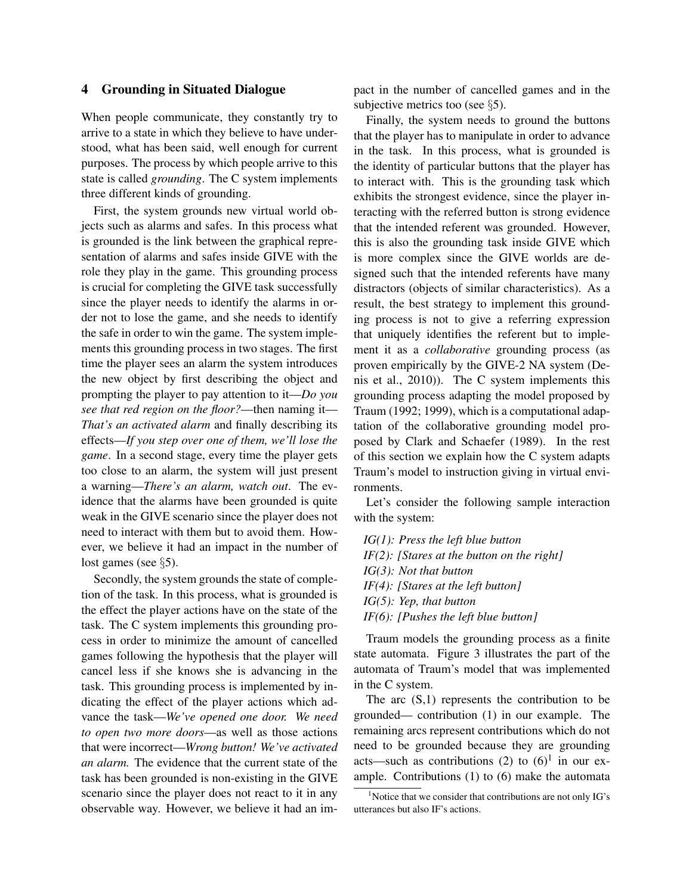## 4 Grounding in Situated Dialogue

When people communicate, they constantly try to arrive to a state in which they believe to have understood, what has been said, well enough for current purposes. The process by which people arrive to this state is called *grounding*. The C system implements three different kinds of grounding.

First, the system grounds new virtual world objects such as alarms and safes. In this process what is grounded is the link between the graphical representation of alarms and safes inside GIVE with the role they play in the game. This grounding process is crucial for completing the GIVE task successfully since the player needs to identify the alarms in order not to lose the game, and she needs to identify the safe in order to win the game. The system implements this grounding process in two stages. The first time the player sees an alarm the system introduces the new object by first describing the object and prompting the player to pay attention to it—*Do you see that red region on the floor?*—then naming it— *That's an activated alarm* and finally describing its effects—*If you step over one of them, we'll lose the game*. In a second stage, every time the player gets too close to an alarm, the system will just present a warning—*There's an alarm, watch out*. The evidence that the alarms have been grounded is quite weak in the GIVE scenario since the player does not need to interact with them but to avoid them. However, we believe it had an impact in the number of lost games (see §5).

Secondly, the system grounds the state of completion of the task. In this process, what is grounded is the effect the player actions have on the state of the task. The C system implements this grounding process in order to minimize the amount of cancelled games following the hypothesis that the player will cancel less if she knows she is advancing in the task. This grounding process is implemented by indicating the effect of the player actions which advance the task—*We've opened one door. We need to open two more doors*—as well as those actions that were incorrect—*Wrong button! We've activated an alarm.* The evidence that the current state of the task has been grounded is non-existing in the GIVE scenario since the player does not react to it in any observable way. However, we believe it had an impact in the number of cancelled games and in the subjective metrics too (see §5).

Finally, the system needs to ground the buttons that the player has to manipulate in order to advance in the task. In this process, what is grounded is the identity of particular buttons that the player has to interact with. This is the grounding task which exhibits the strongest evidence, since the player interacting with the referred button is strong evidence that the intended referent was grounded. However, this is also the grounding task inside GIVE which is more complex since the GIVE worlds are designed such that the intended referents have many distractors (objects of similar characteristics). As a result, the best strategy to implement this grounding process is not to give a referring expression that uniquely identifies the referent but to implement it as a *collaborative* grounding process (as proven empirically by the GIVE-2 NA system (Denis et al., 2010)). The C system implements this grounding process adapting the model proposed by Traum (1992; 1999), which is a computational adaptation of the collaborative grounding model proposed by Clark and Schaefer (1989). In the rest of this section we explain how the C system adapts Traum's model to instruction giving in virtual environments.

Let's consider the following sample interaction with the system:

*IG(1): Press the left blue button IF(2): [Stares at the button on the right] IG(3): Not that button IF(4): [Stares at the left button] IG(5): Yep, that button IF(6): [Pushes the left blue button]*

Traum models the grounding process as a finite state automata. Figure 3 illustrates the part of the automata of Traum's model that was implemented in the C system.

The arc  $(S,1)$  represents the contribution to be grounded— contribution (1) in our example. The remaining arcs represent contributions which do not need to be grounded because they are grounding acts—such as contributions (2) to  $(6)^1$  in our example. Contributions (1) to (6) make the automata

 $1$ Notice that we consider that contributions are not only IG's utterances but also IF's actions.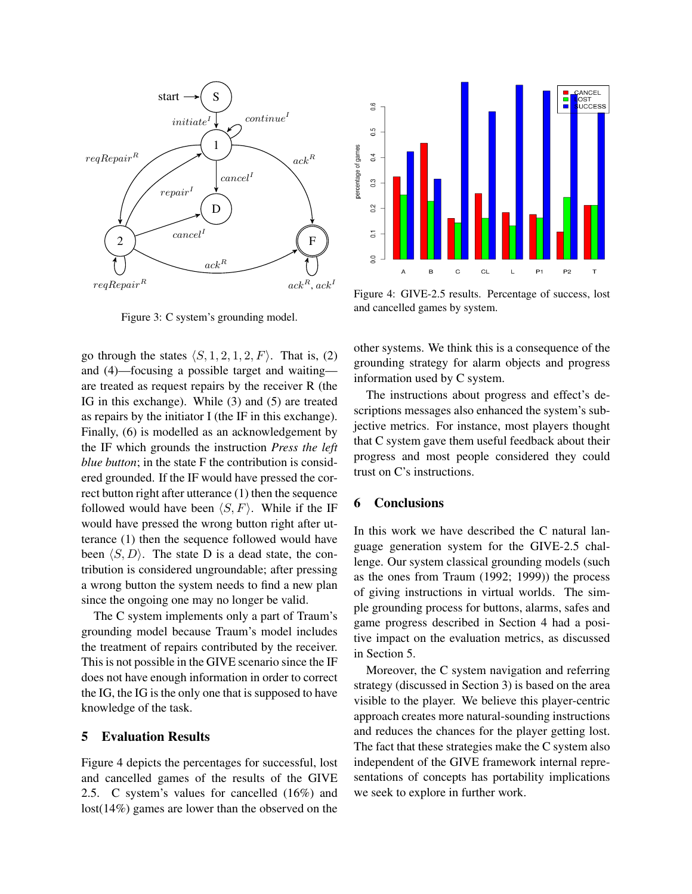

Figure 3: C system's grounding model.

go through the states  $\langle S, 1, 2, 1, 2, F \rangle$ . That is, (2) and (4)—focusing a possible target and waiting are treated as request repairs by the receiver R (the IG in this exchange). While (3) and (5) are treated as repairs by the initiator I (the IF in this exchange). Finally, (6) is modelled as an acknowledgement by the IF which grounds the instruction *Press the left blue button*; in the state F the contribution is considered grounded. If the IF would have pressed the correct button right after utterance (1) then the sequence followed would have been  $\langle S, F \rangle$ . While if the IF would have pressed the wrong button right after utterance (1) then the sequence followed would have been  $\langle S, D \rangle$ . The state D is a dead state, the contribution is considered ungroundable; after pressing a wrong button the system needs to find a new plan since the ongoing one may no longer be valid.

The C system implements only a part of Traum's grounding model because Traum's model includes the treatment of repairs contributed by the receiver. This is not possible in the GIVE scenario since the IF does not have enough information in order to correct the IG, the IG is the only one that is supposed to have knowledge of the task.

## 5 Evaluation Results

Figure 4 depicts the percentages for successful, lost and cancelled games of the results of the GIVE 2.5. C system's values for cancelled (16%) and lost(14%) games are lower than the observed on the



Figure 4: GIVE-2.5 results. Percentage of success, lost and cancelled games by system.

other systems. We think this is a consequence of the grounding strategy for alarm objects and progress information used by C system.

The instructions about progress and effect's descriptions messages also enhanced the system's subjective metrics. For instance, most players thought that C system gave them useful feedback about their progress and most people considered they could trust on C's instructions.

## 6 Conclusions

In this work we have described the C natural language generation system for the GIVE-2.5 challenge. Our system classical grounding models (such as the ones from Traum (1992; 1999)) the process of giving instructions in virtual worlds. The simple grounding process for buttons, alarms, safes and game progress described in Section 4 had a positive impact on the evaluation metrics, as discussed in Section 5.

Moreover, the C system navigation and referring strategy (discussed in Section 3) is based on the area visible to the player. We believe this player-centric approach creates more natural-sounding instructions and reduces the chances for the player getting lost. The fact that these strategies make the C system also independent of the GIVE framework internal representations of concepts has portability implications we seek to explore in further work.